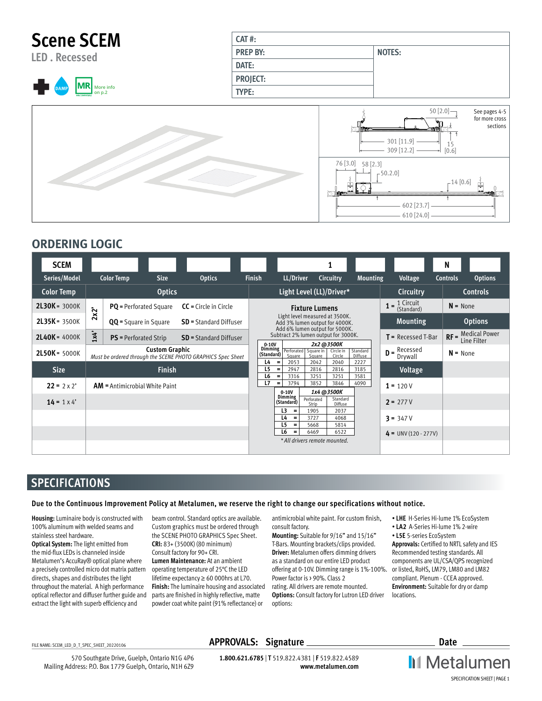

## **ORDERING LOGIC**

| <b>SCEM</b>        |                                                                                      |                                  |             |                               |                                            |                                                    |                                                                                                    |                      |                           |                                         | N                                 |
|--------------------|--------------------------------------------------------------------------------------|----------------------------------|-------------|-------------------------------|--------------------------------------------|----------------------------------------------------|----------------------------------------------------------------------------------------------------|----------------------|---------------------------|-----------------------------------------|-----------------------------------|
| Series/Model       |                                                                                      | <b>Color Temp</b>                | <b>Size</b> | <b>Optics</b>                 | <b>Finish</b>                              | LL/Driver                                          |                                                                                                    | Circuitry            | <b>Mounting</b>           | <b>Voltage</b>                          | <b>Controls</b><br><b>Options</b> |
| <b>Color Temp</b>  | <b>Optics</b>                                                                        |                                  |             |                               |                                            | Light Level (LL)/Driver*                           |                                                                                                    |                      | <b>Circuitry</b>          | <b>Controls</b>                         |                                   |
| $2L30K = 3000K$    | 2x2                                                                                  | <b>PQ</b> = Perforated Square    |             | $CC =$ Circle in Circle       |                                            |                                                    | <b>Fixture Lumens</b>                                                                              |                      |                           | $1 = \frac{1}{2}$ Circuit<br>(Standard) | $N = None$                        |
| $2L35K = 3500K$    |                                                                                      | <b>QQ</b> = Square in Square     |             | <b>SD</b> = Standard Diffuser |                                            |                                                    | Light level measured at 3500K.<br>Add 3% lumen output for 4000K.<br>Add 6% lumen output for 5000K. |                      |                           | <b>Mounting</b>                         | <b>Options</b>                    |
| $2L40K = 4000K$    | 1x4'                                                                                 | <b>PS</b> = Perforated Strip     |             | <b>SD</b> = Standard Diffuser | $0-10V$                                    | Subtract 2% lumen output for 3000K.                |                                                                                                    | 2x2 @3500K           |                           | $T =$ Recessed T-Bar                    | $RF =$ Medical Power              |
| 2L50K = 5000K      | <b>Custom Graphic</b><br>Must be ordered through the SCENE PHOTO GRAPHICS Spec Sheet |                                  |             | <b>Dimming</b><br>(Standard)  | Square                                     | Perforated Square in<br>Square                     | Circle in<br>Circle                                                                                | Standard<br>Diffuse  | $D =$ Recessed<br>Drywall | $N = None$                              |                                   |
| <b>Size</b>        |                                                                                      | <b>Finish</b>                    |             |                               | $L4 =$<br>L <sub>5</sub><br>L <sub>6</sub> | 2053<br>2947<br>$\equiv$<br>3316<br>$\equiv$       | 2042<br>2816<br>3251                                                                               | 2040<br>2816<br>3251 | 2227<br>3185<br>3581      | Voltage                                 |                                   |
| $22 = 2 \times 2'$ |                                                                                      | $AM =$ Antimicrobial White Paint |             |                               | L7                                         | 3794<br>$=$<br>$0 - 10V$                           | 3852                                                                                               | 3846<br>1x4 @3500K   | 4090                      | $1 = 120V$                              |                                   |
| $14 = 1 \times 4'$ |                                                                                      |                                  |             |                               |                                            | Dimming<br>(Standard)                              | Perforated<br>Strip                                                                                | Standard<br>Diffuse  |                           | $2 = 277V$                              |                                   |
|                    |                                                                                      |                                  |             |                               |                                            | L3<br>$\equiv$<br>L4<br>$\equiv$<br>L5<br>$\equiv$ | 1905<br>3727<br>5668                                                                               | 2037<br>4068<br>5814 |                           | $3 = 347V$                              |                                   |
|                    |                                                                                      |                                  |             |                               |                                            | L6<br>$=$                                          | 6469<br>* All drivers remote mounted.                                                              | 6522                 |                           | $4 = UNV(120 - 277V)$                   |                                   |
|                    |                                                                                      |                                  |             |                               |                                            |                                                    |                                                                                                    |                      |                           |                                         |                                   |

## **SPECIFICATIONS**

### **Due to the Continuous Improvement Policy at Metalumen, we reserve the right to change our specifications without notice.**

**Housing:** Luminaire body is constructed with 100% aluminum with welded seams and stainless steel hardware.

**Optical System:** The light emitted from the mid-flux LEDs is channeled inside Metalumen's AccuRay® optical plane where a precisely controlled micro dot matrix pattern directs, shapes and distributes the light throughout the material. A high performance optical reflector and diffuser further guide and extract the light with superb efficiency and

beam control. Standard optics are available. Custom graphics must be ordered through the SCENE PHOTO GRAPHICS Spec Sheet. **CRI:** 83+ (3500K) (80 minimum) Consult factory for 90+ CRI.

**Lumen Maintenance:** At an ambient operating temperature of 25°C the LED lifetime expectancy ≥ 60 000hrs at L70. **Finish:** The luminaire housing and associated parts are finished in highly reflective, matte powder coat white paint (91% reflectance) or

antimicrobial white paint. For custom finish, consult factory.

**Mounting:** Suitable for 9/16" and 15/16" T-Bars. Mounting brackets/clips provided. **Driver:** Metalumen offers dimming drivers as a standard on our entire LED product offering at 0-10V. Dimming range is 1%-100%. Power factor is > 90%. Class 2 rating. All drivers are remote mounted. **Options:** Consult factory for Lutron LED driver options:

- **LHE** H-Series Hi-lume 1% EcoSystem
- **LA2** A-Series Hi-lume 1% 2-wire
- **L5E** 5-series EcoSystem

**Approvals:** Certified to NRTL safety and IES Recommended testing standards. All components are UL/CSA/QPS recognized or listed, RoHS, LM79, LM80 and LM82 compliant. Plenum - CCEA approved. **Environment:** Suitable for dry or damp locations.

570 Southgate Drive, Guelph, Ontario N1G 4P6 Mailing Address: P.O. Box 1779 Guelph, Ontario, N1H 6Z9

## FILE NAME: SCEM\_LED\_D\_T\_SPEC\_SHEET\_20220106 **APPROVALS: Signature Contract Contract Contract Contract Contract Contract Contract Contract Contract Contract Contract Contract Contract Contract Contract Contract Contract C**

**1.800.621.6785** | **T** 519.822.4381 | **F** 519.822.4589 **www.metalumen.com** **II** Metalumen SPECIFICATION SHEET | PAGE 1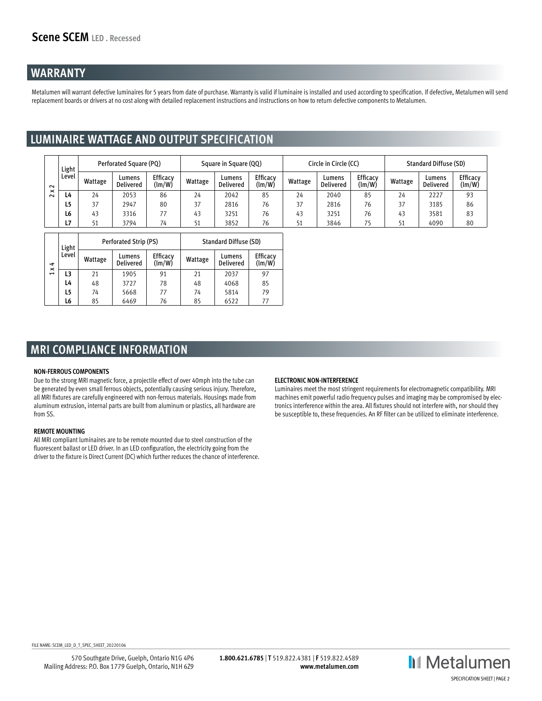## **WARRANTY**

Metalumen will warrant defective luminaires for 5 years from date of purchase. Warranty is valid if luminaire is installed and used according to specification. If defective, Metalumen will send replacement boards or drivers at no cost along with detailed replacement instructions and instructions on how to return defective components to Metalumen.

## **LUMINAIRE WATTAGE AND OUTPUT SPECIFICATION**

|             | Light          |         | Perforated Square (PQ) |                                  |         | Square in Square (QQ)      |                           |         | Circle in Circle (CC) |                    |         | <b>Standard Diffuse (SD)</b> |                    |  |
|-------------|----------------|---------|------------------------|----------------------------------|---------|----------------------------|---------------------------|---------|-----------------------|--------------------|---------|------------------------------|--------------------|--|
| $\sim$      | Level          | Wattage | Lumens<br>Delivered    | Efficacv<br>$\text{Im}/\text{W}$ | Wattage | Lumens<br><b>Delivered</b> | <b>Efficacv</b><br>(lm/W) | Wattage | Lumens<br>Delivered   | Efficacv<br>(lm/W) | Wattage | Lumens<br>Delivered          | Efficacy<br>(lm/W) |  |
| ×<br>$\sim$ | L4             | 24      | 2053                   | 86                               | 24      | 2042                       | 85                        | 24      | 2040                  | 85                 | 24      | 2227                         | 93                 |  |
|             | L5             | 37      | 2947                   | 80                               | 37      | 2816                       | 76                        | 37      | 2816                  | 76                 | 37      | 3185                         | 86                 |  |
|             | L <sub>6</sub> | 43      | 3316                   |                                  | 43      | 3251                       | 76                        | 43      | 3251                  | 76                 | 43      | 3581                         | 83                 |  |
|             | L7             | 51      | 3794                   | 74                               | 51      | 3852                       | 76                        |         | 3846                  | 75                 | 51      | 4090                         | 80                 |  |

|                | Light |         | Perforated Strip (PS)      |                    | <b>Standard Diffuse (SD)</b> |                            |                    |  |
|----------------|-------|---------|----------------------------|--------------------|------------------------------|----------------------------|--------------------|--|
| ⇉<br>×         | Level | Wattage | Lumens<br><b>Delivered</b> | Efficacy<br>(lm/W) | Wattage                      | Lumens<br><b>Delivered</b> | Efficacy<br>(lm/W) |  |
| $\overline{ }$ | L3    | 21      | 1905                       | 91                 | 21                           | 2037                       | 97                 |  |
|                | L4    | 48      | 3727                       | 78                 | 48                           | 4068                       | 85                 |  |
|                | L5    | 74      | 5668                       | 77                 | 74                           | 5814                       | 79                 |  |
|                | L6    | 85      | 6469                       | 76                 | 85                           | 6522                       | 77                 |  |

## **MRI COMPLIANCE INFORMATION**

### **NON-FERROUS COMPONENTS**

Due to the strong MRI magnetic force, a projectile effect of over 40mph into the tube can be generated by even small ferrous objects, potentially causing serious injury. Therefore, all MRI fixtures are carefully engineered with non-ferrous materials. Housings made from aluminum extrusion, internal parts are built from aluminum or plastics, all hardware are from SS.

### **REMOTE MOUNTING**

All MRI compliant luminaires are to be remote mounted due to steel construction of the fluorescent ballast or LED driver. In an LED configuration, the electricity going from the driver to the fixture is Direct Current (DC) which further reduces the chance of interference.

### **ELECTRONIC NON-INTERFERENCE**

Luminaires meet the most stringent requirements for electromagnetic compatibility. MRI machines emit powerful radio frequency pulses and imaging may be compromised by electronics interference within the area. All fixtures should not interfere with, nor should they be susceptible to, these frequencies. An RF filter can be utilized to eliminate interference.

FILE NAME: SCEM\_LED\_D\_T\_SPEC\_SHEET\_20220106

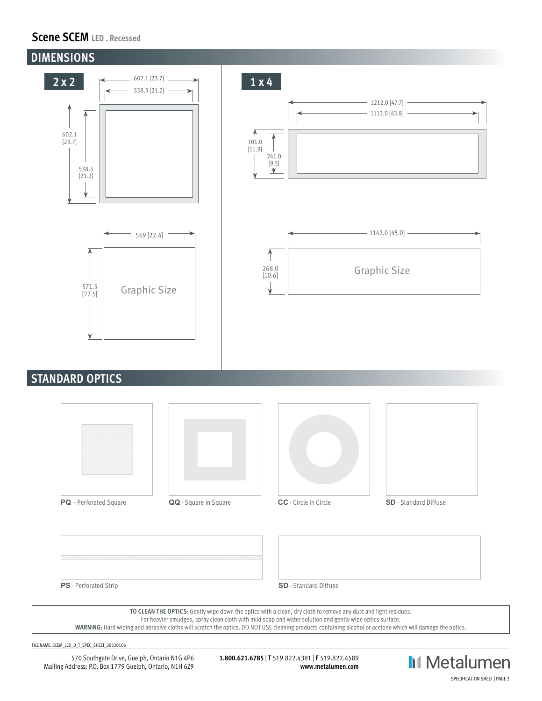## **Scene SCEM LED . Recessed**



## **STANDARD OPTICS**









**PS** - Perforated Strip **SD** - Standard Diffuse

**TO CLEAN THE OPTICS:** Gently wipe down the optics with a clean, dry cloth to remove any dust and light residues.

For heavier smudges, spray clean cloth with mild soap and water solution and gently wipe optics surface.

**WARNING:** Hard wiping and abrasive cloths will scratch the optics. DO NOT USE cleaning products containing alcohol or acetone which will damage the optics.

FILE NAME: SCEM\_LED\_D\_T\_SPEC\_SHEET\_20220106

570 Southgate Drive, Guelph, Ontario N1G 4P6 Mailing Address: P.O. Box 1779 Guelph, Ontario, N1H 6Z9

**1.800.621.6785** | **T** 519.822.4381 | **F** 519.822.4589 **www.metalumen.com**

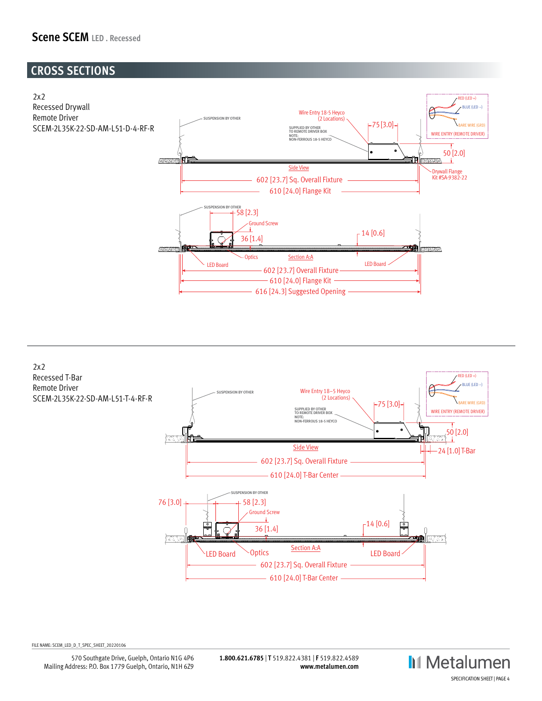## **Scene SCEM LED . Recessed**

# **CROSS SECTIONS**





FILE NAME: SCEM\_LED\_D\_T\_SPEC\_SHEET\_20220106

2x2 SCENE LIGHT LEVEL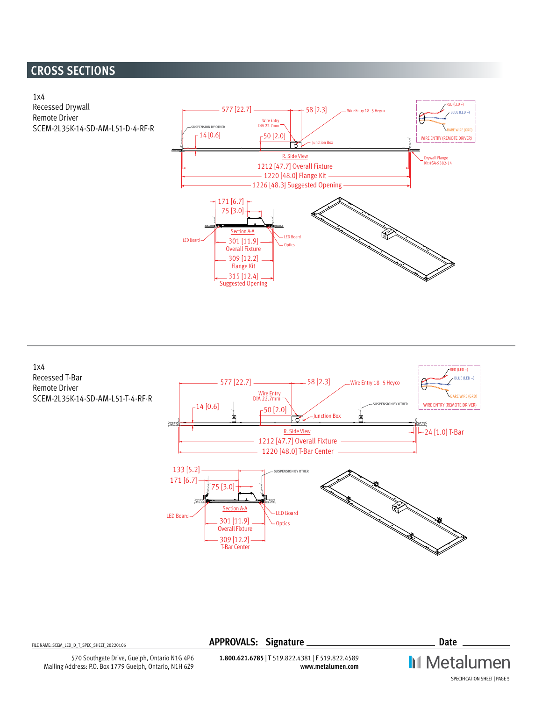# **CROSS SECTIONS**





FILE NAME: SCEM\_LED\_D\_T\_SPEC\_SHEET\_20220106 **APPROVALS: Signature Date**

**II** Metalumen SPECIFICATION SHEET | PAGE 5

**1.800.621.6785** | **T** 519.822.4381 | **F** 519.822.4589 **www.metalumen.com**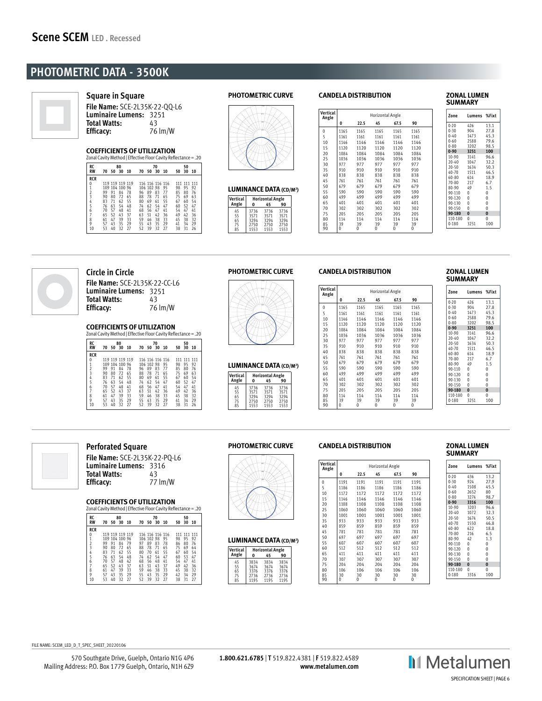## **PHOTOMETRIC DATA - 3500K**



**Square in Square**

**File Name:** SCE-2L35K-22-QQ-L6 **Luminaire Lumens:** 3251 **Total Watts:** 43<br>**Efficacy:** 76 lm/W **Efficacy:** 

## **COEFFICIENTS OF UTILIZATION**

| RC             |    |                 | 80 |    |    |            | 70              |    |     | 50  |     |
|----------------|----|-----------------|----|----|----|------------|-----------------|----|-----|-----|-----|
| <b>RW</b>      | 70 | 50 30           |    | 10 | 70 | - 50       | 30              | 10 | 50  | 30  | 10  |
| <b>RCR</b>     |    |                 |    |    |    |            |                 |    |     |     |     |
| 0              |    | 119 119 119 119 |    |    |    |            | 116 116 116 116 |    | 111 | 111 | 111 |
| $\overline{1}$ |    | 109 104 100 96  |    |    |    | 106 102 98 |                 | 95 | 98  | 95  | 92  |
| $\frac{2}{3}$  | 99 | 91              | 84 | 78 | 96 | 89         | 83              | 77 | 85  | 80  | 76  |
|                | 90 | 80              | 72 | 65 | 88 | 78         | 71              | 65 | 75  | 69  | 63  |
| 4<br>5         | 83 | 71              | 62 | 55 | 80 | 69         | 61              | 55 | 67  | 60  | 54  |
|                | 76 | 63              | 54 | 48 | 74 | 62         | 54              | 47 | 60  | 52  | 47  |
| 6              | 70 | 57              | 48 | 41 | 68 | 56         | 47              | 41 | 54  | 47  | 41  |
|                | 65 | 52              | 43 | 37 | 63 | 51         | 42              | 36 | 49  | 42  | 36  |
| 8              | 61 | 47              | 39 | 33 | 59 | 46         | 38              | 33 | 45  | 38  | 32  |
| 9              | 57 | 43              | 35 | 29 | 55 | 43         | 35              | 29 | 41  | 34  | 29  |
| 10             | 53 | 40              | 32 | 27 | 52 | 39         | 32              | 27 | 38  | 31  | 26  |

### **PHOTOMETRIC CURVE**



| <b>LUMINANCE DATA (CD/M2)</b> |              |                               |              |  |  |  |  |
|-------------------------------|--------------|-------------------------------|--------------|--|--|--|--|
| Vertical<br>Angle             | 0            | <b>Horizontal Angle</b><br>45 | 90           |  |  |  |  |
| 45                            | 3736         | 3736                          | 3736         |  |  |  |  |
| 55<br>65                      | 3571<br>3294 | 3571<br>3294                  | 3571<br>3294 |  |  |  |  |
| 75<br>85                      | 2750<br>1553 | 2750<br>1553                  | 2750<br>1553 |  |  |  |  |

#### **CANDELA DISTRIBUTION**

| Vertical<br>Angle |      | Horizontal Angle |      |      |      |  |  |  |  |
|-------------------|------|------------------|------|------|------|--|--|--|--|
|                   | 0    | 22.5             | 45   | 67.5 | 90   |  |  |  |  |
| 0                 | 1165 | 1165             | 1165 | 1165 | 1165 |  |  |  |  |
| 5                 | 1161 | 1161             | 1161 | 1161 | 1161 |  |  |  |  |
| 10                | 1146 | 1146             | 1146 | 1146 | 1146 |  |  |  |  |
| 15                | 1120 | 1120             | 1120 | 1120 | 1120 |  |  |  |  |
| 20                | 1084 | 1084             | 1084 | 1084 | 1084 |  |  |  |  |
| 25                | 1036 | 1036             | 1036 | 1036 | 1036 |  |  |  |  |
| 30                | 977  | 977              | 977  | 977  | 977  |  |  |  |  |
| 35                | 910  | 910              | 910  | 910  | 910  |  |  |  |  |
| 40                | 838  | 838              | 838  | 838  | 838  |  |  |  |  |
| 45                | 761  | 761              | 761  | 761  | 761  |  |  |  |  |
| 50                | 679  | 679              | 679  | 679  | 679  |  |  |  |  |
| 55                | 590  | 590              | 590  | 590  | 590  |  |  |  |  |
| 60                | 499  | 499              | 499  | 499  | 499  |  |  |  |  |
| 65                | 401  | 401              | 401  | 401  | 401  |  |  |  |  |
| 70                | 302  | 302              | 302  | 302  | 302  |  |  |  |  |
| 75                | 205  | 205              | 205  | 205  | 205  |  |  |  |  |
| 80                | 114  | 114              | 114  | 114  | 114  |  |  |  |  |
| 85                | 39   | 39               | 39   | 39   | 39   |  |  |  |  |
| 90                | 0    | 0                | 0    | 0    | 0    |  |  |  |  |

#### **ZONAL LUMEN SUMMARY**

| Zone      | Lumens %Fixt |          |
|-----------|--------------|----------|
| $0-20$    | 426          | 13.1     |
| 0-30      | 904          | 27.8     |
| $0 - 40$  | 1473         | 45.3     |
| 0-60      | 2588         | 79.6     |
| 0-80      | 3202         | 98.5     |
| $0 - 90$  | 3251         | 100      |
| 10-90     | 3141         | 96.6     |
| $20 - 40$ | 1047         | 32.2     |
| $20 - 50$ | 1634         | 50.3     |
| 40-70     | 1511         | 46.5     |
| 60-80 614 |              | 18.9     |
| 70-80     | 217          | 6.7      |
| 80-90     | 49           | $1.5\,$  |
| 90-110    | 0            | 0        |
| 90-120    | $\mathbf{0}$ | 0        |
| 90-130 0  |              | 0        |
| 90-150    | $\mathbf{0}$ | 0        |
| 90-180    | $\bf{0}$     | $\bf{0}$ |
| 110-180   | 0            | 0        |
| 0-180     | 3251         | 100      |



## **Circle in Circle**

**File Name:** SCE-2L35K-22-CC-L6 **Luminaire Lumens:** 3251 **Total Watts:**<br>**Efficacy: Efficacy:** 76 lm/W

### **COEFFICIENTS OF UTILIZATION**

| RC            |    |                 | 80       |    |    |            | 70              |    |    | 50          |      |
|---------------|----|-----------------|----------|----|----|------------|-----------------|----|----|-------------|------|
| <b>RW</b>     | 70 |                 | 50 30 10 |    | 70 | 50 30      |                 | 10 | 50 | 30          | - 10 |
| <b>RCR</b>    |    |                 |          |    |    |            |                 |    |    |             |      |
| 0             |    | 119 119 119 119 |          |    |    |            | 116 116 116 116 |    |    | 111 111 111 |      |
| 1             |    | 109 104 100 96  |          |    |    | 106 102 98 |                 | 95 | 98 | 95          | 92   |
| $\frac{2}{3}$ | 99 | 91              | 84       | 78 | 96 | 89         | 83              | 77 | 85 | 80          | 76   |
|               | 90 | 80              | 72       | 65 | 88 | 78         | 71              | 65 | 75 | 69          | 63   |
| 4             | 83 | 71              | 62       | 55 | 80 | 69         | 61              | 55 | 67 | 60          | 54   |
| 5             | 76 | 63              | 54       | 48 | 74 | 62         | 54              | 47 | 60 | 52          | 47   |
| 6             | 70 | 57              | 48       | 41 | 68 | 56         | 47              | 41 | 54 | 47          | 41   |
|               | 65 | 52              | 43       | 37 | 63 | 51         | 42              | 36 | 49 | 42          | 36   |
| 8             | 61 | 47              | 39       | 33 | 59 | 46         | 38              | 33 | 45 | 38          | 32   |
| 9             | 57 | 43              | 35       | 29 | 55 | 43         | 35              | 29 | 41 | 34          | 29   |
| 10            | 53 | 40              | 32       | 27 | 52 | 39         | 32              | 27 | 38 | 31          | 26   |

## **PHOTOMETRIC CURVE**



#### **LUMINANCE DATA (CD/M2 )**

| Vertical | <b>Horizontal Angle</b> |      |      |  |  |  |  |
|----------|-------------------------|------|------|--|--|--|--|
| Angle    | ŋ                       | 45   | 90   |  |  |  |  |
| 45       | 3736                    | 3736 | 3736 |  |  |  |  |
| 55       | 3571                    | 3571 | 3571 |  |  |  |  |
| 65       | 3294                    | 3294 | 3294 |  |  |  |  |
| 75       | 2750                    | 2750 | 2750 |  |  |  |  |
| 85       | 1553                    | 1553 | 1553 |  |  |  |  |

### **CANDELA DISTRIBUTION**

| Vertical<br>Angle | Horizontal Angle |      |      |      |      |  |  |  |
|-------------------|------------------|------|------|------|------|--|--|--|
|                   | 0                | 22.5 | 45   | 67.5 | 90   |  |  |  |
| 0                 | 1165             | 1165 | 1165 | 1165 | 1165 |  |  |  |
| 5                 | 1161             | 1161 | 1161 | 1161 | 1161 |  |  |  |
| 10                | 1146             | 1146 | 1146 | 1146 | 1146 |  |  |  |
| 15                | 1120             | 1120 | 1120 | 1120 | 1120 |  |  |  |
| 20                | 1084             | 1084 | 1084 | 1084 | 1084 |  |  |  |
| 25                | 1036             | 1036 | 1036 | 1036 | 1036 |  |  |  |
| 30                | 977              | 977  | 977  | 977  | 977  |  |  |  |
| 35                | 910              | 910  | 910  | 910  | 910  |  |  |  |
| 40                | 838              | 838  | 838  | 838  | 838  |  |  |  |
| 45                | 761              | 761  | 761  | 761  | 761  |  |  |  |
| 50                | 679              | 679  | 679  | 679  | 679  |  |  |  |
| 55                | 590              | 590  | 590  | 590  | 590  |  |  |  |
| 60                | 499              | 499  | 499  | 499  | 499  |  |  |  |
| 65                | 401              | 401  | 401  | 401  | 401  |  |  |  |
| 70                | 302              | 302  | 302  | 302  | 302  |  |  |  |
| 75                | 205              | 205  | 205  | 205  | 205  |  |  |  |
| 80                | 114              | 114  | 114  | 114  | 114  |  |  |  |
| 85                | 39               | 39   | 39   | 39   | 39   |  |  |  |
| 90                | 0                | 0    | 0    | 0    | 0    |  |  |  |

#### **ZONAL LUMEN SUMMARY**

| Zone      | Lumens %Fixt |         |
|-----------|--------------|---------|
| $0-20$    | 426          | 13.1    |
| $0 - 30$  | 904          | 27.8    |
| $0 - 40$  | 1473         | 45.3    |
| $0 - 60$  | 2588         | 79.6    |
| 0-80      | 3202         | 98.5    |
| $0 - 90$  | 3251         | 100     |
| $10 - 90$ | 3141         | 96.6    |
| $20 - 40$ | 1047         | 32.2    |
| 20-50     | 1634         | 50.3    |
| 40-70     | 1511         | 46.5    |
| 60-80     | 614          | 18.9    |
| 70-80     | 217          | 6.7     |
| 80-90     | 49           | $1.5\,$ |
| 90-110    | 0            | 0       |
| 90-120    | 0            | 0       |
| 90-130    | $\theta$     | 0       |
| 90-150    | $\theta$     | 0       |
| 90-180    | $\bf{0}$     | 0       |
| 110-180   | $\theta$     | 0       |
| 0-180     | 3251         | 100     |



## **Perforated Square**

| File Name: SCE-2L35K-22-PQ-L6 |         |
|-------------------------------|---------|
| Luminaire Lumens: 3316        |         |
| <b>Total Watts:</b>           | 43      |
| Efficacy:                     | 77 lm/W |

#### **COEFFICIENTS OF UTILIZATION**

| Zonal Cavity Method   Effective Floor Cavity Reflectance = .20 |     |                 |    |    |    |            |                 |    |     |          |     |
|----------------------------------------------------------------|-----|-----------------|----|----|----|------------|-----------------|----|-----|----------|-----|
| RC<br><b>RW</b>                                                | 70  | 50 30           | 80 | 10 | 70 | 50 30      | 70              | 10 | 50  | 50<br>30 | 10  |
| <b>RCR</b>                                                     |     |                 |    |    |    |            |                 |    |     |          |     |
| 0                                                              |     | 119 119 119 119 |    |    |    |            | 116 116 116 116 |    | 111 | 111      | 111 |
| 1                                                              | 109 | 104 100 96      |    |    |    | 106 102 98 |                 | 95 | 98  | 95       | 92  |
| $\overline{a}$                                                 | 99  | 91              | 84 | 79 | 97 | 89         | 83              | 78 | 86  | 80       | 76  |
| 3                                                              | 90  | 80              | 72 | 65 | 88 | 78         | 71              | 65 | 75  | 69       | 64  |
| 4                                                              | 83  | 71              | 62 | 55 | 80 | 70         | 61              | 55 | 67  | 60       | 54  |
| 5                                                              | 76  | 63              | 54 | 48 | 74 | 62         | 54              | 47 | 60  | 53       | 47  |
| 6                                                              | 70  | 57              | 48 | 42 | 68 | 56         | 48              | 41 | 54  | 47       | 41  |
|                                                                | 65  | 52              | 43 | 37 | 63 | 51         | 43              | 37 | 49  | 42       | 36  |
| 8                                                              | 61  | 47              | 39 | 33 | 59 | 46         | 38              | 33 | 45  | 38       | 32  |
| 9                                                              | 57  | 43              | 35 | 29 | 55 | 43         | 35              | 29 | 42  | 34       | 29  |
| 10                                                             | 53  | 40              | 32 | 27 | 52 | 39         | 32              | 27 | 38  | 31       | 27  |

#### **PHOTOMETRIC CURVE**



### **LUMINANCE DATA (CD/M2 )**

| Vertical | <b>Horizontal Angle</b> |      |      |  |  |  |  |
|----------|-------------------------|------|------|--|--|--|--|
| Angle    | O                       | 45   | 90   |  |  |  |  |
| 45       | 3834                    | 3834 | 3834 |  |  |  |  |
| 55       | 3674                    | 3674 | 3674 |  |  |  |  |
| 65       | 3376                    | 3376 | 3376 |  |  |  |  |
| 75       | 2736                    | 2736 | 2736 |  |  |  |  |
| 85       | 1195                    | 1195 | 1195 |  |  |  |  |

#### **CANDELA DISTRIBUTION**

| Vertical<br>Angle | Horizontal Angle |      |      |      |      |  |  |  |
|-------------------|------------------|------|------|------|------|--|--|--|
|                   | 0                | 22.5 | 45   | 67.5 | 90   |  |  |  |
| 0                 | 1191             | 1191 | 1191 | 1191 | 1191 |  |  |  |
| 5                 | 1186             | 1186 | 1186 | 1186 | 1186 |  |  |  |
| 10                | 1172             | 1172 | 1172 | 1172 | 1172 |  |  |  |
| 15                | 1146             | 1146 | 1146 | 1146 | 1146 |  |  |  |
| 20                | 1108             | 1108 | 1108 | 1108 | 1108 |  |  |  |
| 25                | 1060             | 1060 | 1060 | 1060 | 1060 |  |  |  |
| 30                | 1001             | 1001 | 1001 | 1001 | 1001 |  |  |  |
| 35                | 933              | 933  | 933  | 933  | 933  |  |  |  |
| 40                | 859              | 859  | 859  | 859  | 859  |  |  |  |
| 45                | 781              | 781  | 781  | 781  | 781  |  |  |  |
| 50                | 697              | 697  | 697  | 697  | 697  |  |  |  |
| 55                | 607              | 607  | 607  | 607  | 607  |  |  |  |
| 60                | 512              | 512  | 512  | 512  | 512  |  |  |  |
| 65                | 411              | 411  | 411  | 411  | 411  |  |  |  |
| 70                | 307              | 307  | 307  | 307  | 307  |  |  |  |
| 75                | 204              | 204  | 204  | 204  | 204  |  |  |  |
| 80                | 106              | 106  | 106  | 106  | 106  |  |  |  |
| 85                | 30               | 30   | 30   | 30   | 30   |  |  |  |
| 90                | 0                | 0    | 0    | 0    | 0    |  |  |  |

### **ZONAL LUMEN SUMMARY**

| Zone       | Lumens %Fixt   |          |
|------------|----------------|----------|
| $0-20$     | 436            | 13.2     |
| $0 - 30$   | 924            | 27.9     |
| $0 - 40$   | 1508           | 45.5     |
| $0 - 60$   | 2652           | 80       |
| 0-80       | 3274           | 98.7     |
| $0 - 90$   | 3316           | 100      |
| $10-90$    | 3203           | 96.6     |
| 20-40 1072 |                | 32.3     |
| $20 - 50$  | 1674           | 50.5     |
| 40-70      | 1550           | 46.8     |
| 60-80      | 622            | 18.8     |
| 70-80      | 216            | 6.5      |
| 80-90      | 42             | 1.3      |
| 90-110     | $^{\circ}$     | 0        |
| 90-120     | $\overline{0}$ | 0        |
| 90-130     | 0              | 0        |
| 90-150     | $\theta$       | 0        |
| 90-180     | $\bf{0}$       | $\bf{0}$ |
| 110-180    | $\theta$       | 0        |
| 0-180      | 3316           | 100      |



FILE NAME: SCEM\_LED\_D\_T\_SPEC\_SHEET\_20220106